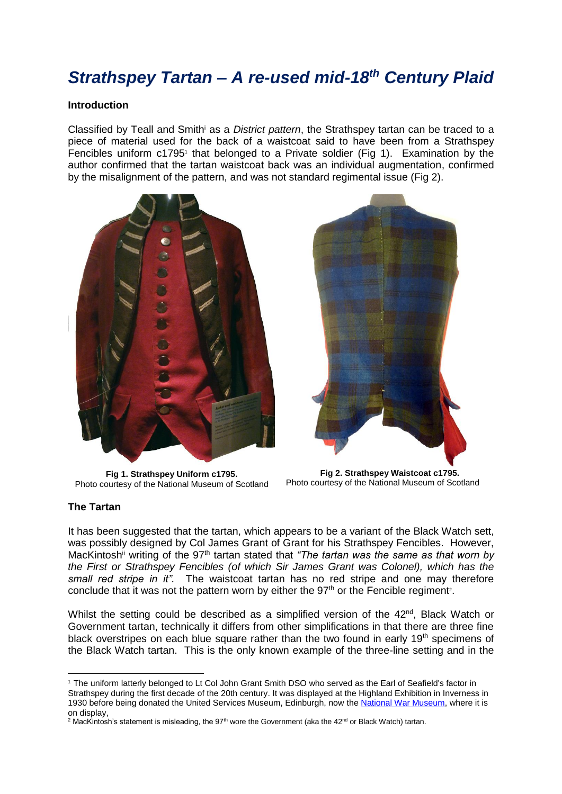# *Strathspey Tartan – A re-used mid-18th Century Plaid*

#### **Introduction**

Classified by Teall and Smith<sup>i</sup> as a *District pattern*, the Strathspey tartan can be traced to a piece of material used for the back of a waistcoat said to have been from a Strathspey Fencibles uniform  $c1795<sup>1</sup>$  that belonged to a Private soldier (Fig 1). Examination by the author confirmed that the tartan waistcoat back was an individual augmentation, confirmed by the misalignment of the pattern, and was not standard regimental issue (Fig 2).



**Fig 1. Strathspey Uniform c1795.**  Photo courtesy of the National Museum of Scotland



**Fig 2. Strathspey Waistcoat c1795.**  Photo courtesy of the National Museum of Scotland

#### **The Tartan**

-

It has been suggested that the tartan, which appears to be a variant of the Black Watch sett, was possibly designed by Col James Grant of Grant for his Strathspey Fencibles. However, MacKintosh<sup>ii</sup> writing of the 97<sup>th</sup> tartan stated that *"The tartan was the same as that worn by the First or Strathspey Fencibles (of which Sir James Grant was Colonel), which has the small red stripe in it".* The waistcoat tartan has no red stripe and one may therefore conclude that it was not the pattern worn by either the  $97<sup>th</sup>$  or the Fencible regiment<sup>2</sup>.

Whilst the setting could be described as a simplified version of the 42<sup>nd</sup>, Black Watch or Government tartan, technically it differs from other simplifications in that there are three fine black overstripes on each blue square rather than the two found in early 19<sup>th</sup> specimens of the Black Watch tartan. This is the only known example of the three-line setting and in the

<sup>1</sup> The uniform latterly belonged to Lt Col John Grant Smith DSO who served as the Earl of Seafield's factor in Strathspey during the first decade of the 20th century. It was displayed at the Highland Exhibition in Inverness in 1930 before being donated the United Services Museum, Edinburgh, now the [National War Museum,](http://www.nms.ac.uk/national-war-museum) where it is on display,

 $2$  MacKintosh's statement is misleading, the 97<sup>th</sup> wore the Government (aka the 42<sup>nd</sup> or Black Watch) tartan.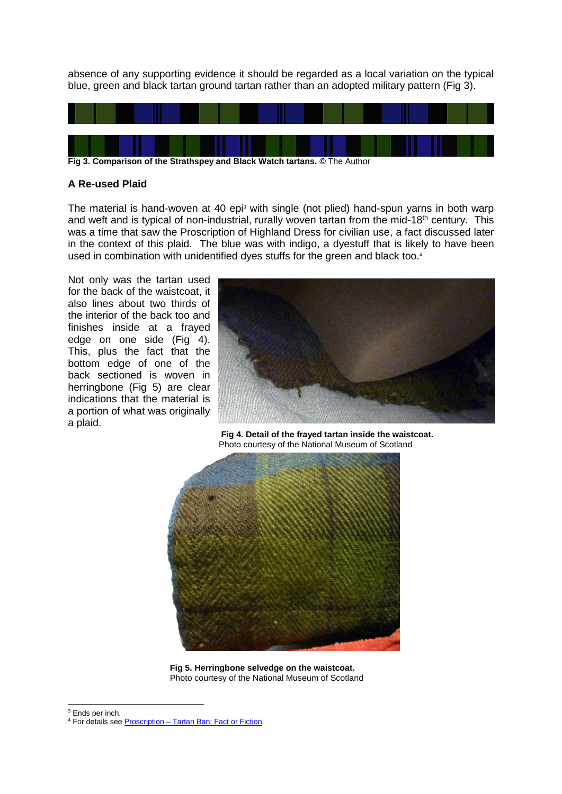absence of any supporting evidence it should be regarded as a local variation on the typical blue, green and black tartan ground tartan rather than an adopted military pattern (Fig 3).



## **A Re-used Plaid**

The material is hand-woven at 40 epi<sup>3</sup> with single (not plied) hand-spun yarns in both warp and weft and is typical of non-industrial, rurally woven tartan from the mid-18<sup>th</sup> century. This was a time that saw the Proscription of Highland Dress for civilian use, a fact discussed later in the context of this plaid. The blue was with indigo, a dyestuff that is likely to have been used in combination with unidentified dyes stuffs for the green and black too.<sup>4</sup>

Not only was the tartan used for the back of the waistcoat, it also lines about two thirds of the interior of the back too and finishes inside at a frayed edge on one side (Fig 4). This, plus the fact that the bottom edge of one of the back sectioned is woven in herringbone (Fig 5) are clear indications that the material is a portion of what was originally a plaid.



**Fig 4. Detail of the frayed tartan inside the waistcoat.**  Photo courtesy of the National Museum of Scotland



**Fig 5. Herringbone selvedge on the waistcoat.**  Photo courtesy of the National Museum of Scotland

<sup>&</sup>lt;sup>3</sup> Ends per inch.

<sup>4</sup> For details see Proscription – [Tartan Ban: Fact or Fiction.](http://www.scottishtartans.co.uk/Act_of_Proscription_1747_-_The_Tartan_Ban_-_Fact_or_Myth.pdf)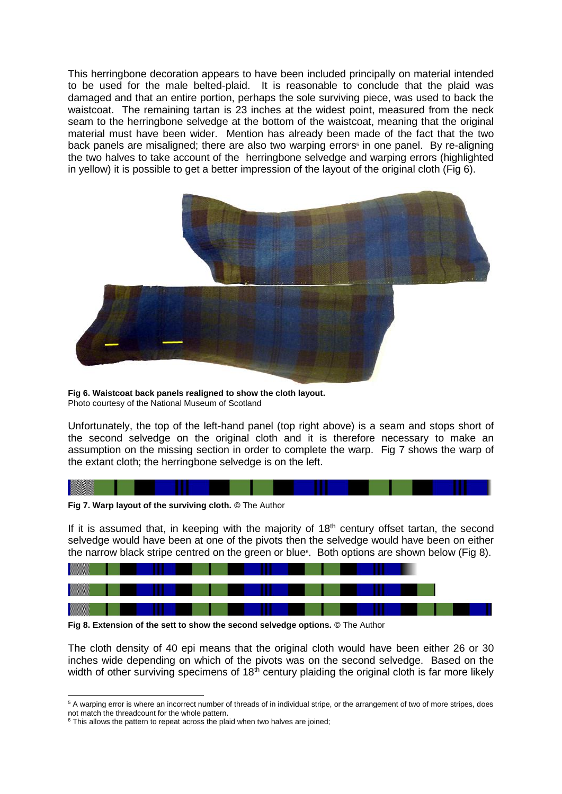This herringbone decoration appears to have been included principally on material intended to be used for the male belted-plaid. It is reasonable to conclude that the plaid was damaged and that an entire portion, perhaps the sole surviving piece, was used to back the waistcoat. The remaining tartan is 23 inches at the widest point, measured from the neck seam to the herringbone selvedge at the bottom of the waistcoat, meaning that the original material must have been wider. Mention has already been made of the fact that the two back panels are misaligned; there are also two warping errors<sup>5</sup> in one panel. By re-aligning the two halves to take account of the herringbone selvedge and warping errors (highlighted in yellow) it is possible to get a better impression of the layout of the original cloth (Fig 6).



**Fig 6. Waistcoat back panels realigned to show the cloth layout.**  Photo courtesy of the National Museum of Scotland

Unfortunately, the top of the left-hand panel (top right above) is a seam and stops short of the second selvedge on the original cloth and it is therefore necessary to make an assumption on the missing section in order to complete the warp. Fig 7 shows the warp of the extant cloth; the herringbone selvedge is on the left.



**Fig 7. Warp layout of the surviving cloth. ©** The Author

If it is assumed that, in keeping with the majority of  $18<sup>th</sup>$  century offset tartan, the second selvedge would have been at one of the pivots then the selvedge would have been on either the narrow black stripe centred on the green or blue<sup>6</sup>. Both options are shown below (Fig 8).



**Fig 8. Extension of the sett to show the second selvedge options. ©** The Author

The cloth density of 40 epi means that the original cloth would have been either 26 or 30 inches wide depending on which of the pivots was on the second selvedge. Based on the width of other surviving specimens of  $18<sup>th</sup>$  century plaiding the original cloth is far more likely

<sup>&</sup>lt;sup>5</sup> A warping error is where an incorrect number of threads of in individual stripe, or the arrangement of two of more stripes, does not match the threadcount for the whole pattern.

<sup>&</sup>lt;sup>6</sup> This allows the pattern to repeat across the plaid when two halves are joined;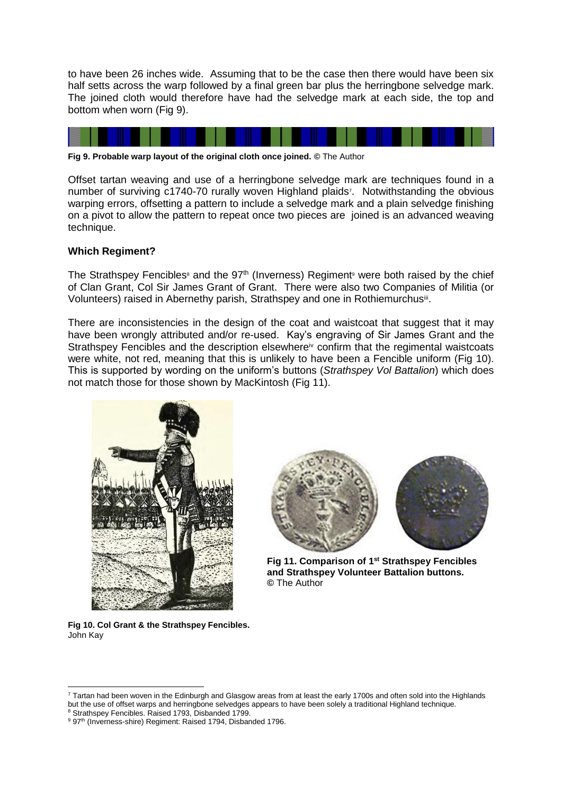to have been 26 inches wide. Assuming that to be the case then there would have been six half setts across the warp followed by a final green bar plus the herringbone selvedge mark. The joined cloth would therefore have had the selvedge mark at each side, the top and bottom when worn (Fig 9).



**Fig 9. Probable warp layout of the original cloth once joined. ©** The Author

Offset tartan weaving and use of a herringbone selvedge mark are techniques found in a number of surviving c1740-70 rurally woven Highland plaids<sup>7</sup>. Notwithstanding the obvious warping errors, offsetting a pattern to include a selvedge mark and a plain selvedge finishing on a pivot to allow the pattern to repeat once two pieces are joined is an advanced weaving technique.

### **Which Regiment?**

The Strathspey Fencibles<sup>®</sup> and the 97<sup>th</sup> (Inverness) Regiment<sup>®</sup> were both raised by the chief of Clan Grant, Col Sir James Grant of Grant. There were also two Companies of Militia (or Volunteers) raised in Abernethy parish, Strathspey and one in Rothiemurchusiii.

There are inconsistencies in the design of the coat and waistcoat that suggest that it may have been wrongly attributed and/or re-used. Kay's engraving of Sir James Grant and the Strathspey Fencibles and the description elsewhere<sup>iv</sup> confirm that the regimental waistcoats were white, not red, meaning that this is unlikely to have been a Fencible uniform (Fig 10). This is supported by wording on the uniform's buttons (*Strathspey Vol Battalion*) which does not match those for those shown by MacKintosh (Fig 11).



**Fig 10. Col Grant & the Strathspey Fencibles.**  John Kay



**Fig 11. Comparison of 1st Strathspey Fencibles and Strathspey Volunteer Battalion buttons. ©** The Author

 $7$  Tartan had been woven in the Edinburgh and Glasgow areas from at least the early 1700s and often sold into the Highlands but the use of offset warps and herringbone selvedges appears to have been solely a traditional Highland technique. 8 Strathspey Fencibles. Raised 1793, Disbanded 1799.

<sup>&</sup>lt;sup>9</sup> 97<sup>th</sup> (Inverness-shire) Regiment: Raised 1794, Disbanded 1796.